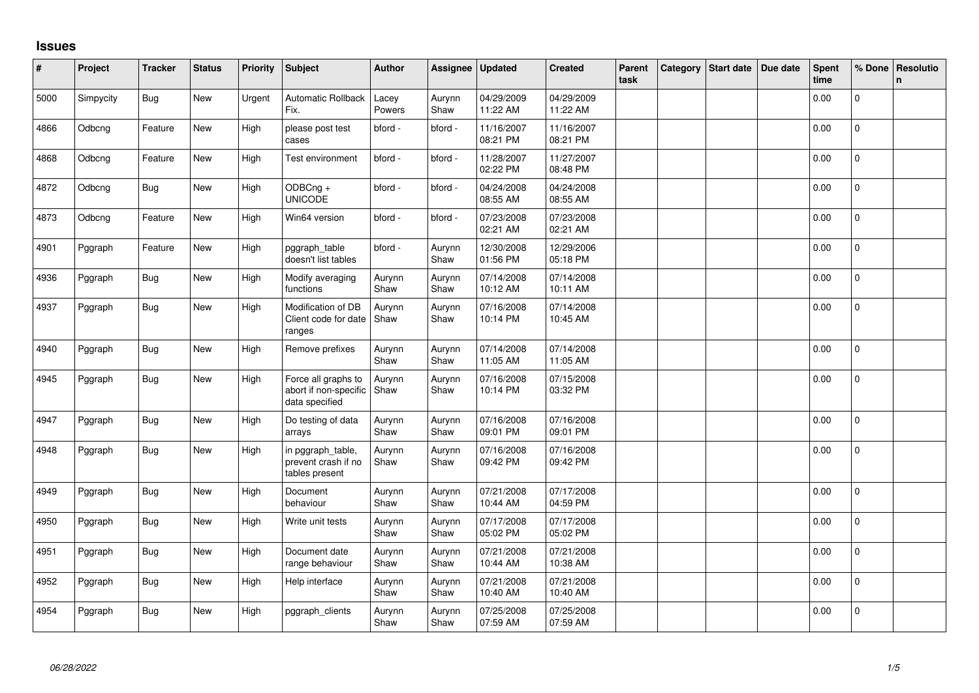## **Issues**

| #    | Project   | <b>Tracker</b> | <b>Status</b> | <b>Priority</b> | Subject                                                        | <b>Author</b>   | Assignee       | <b>Updated</b>         | <b>Created</b>         | Parent<br>task | Category | Start date | Due date | <b>Spent</b><br>time | % Done       | Resolutio<br>$\mathsf{n}$ |
|------|-----------|----------------|---------------|-----------------|----------------------------------------------------------------|-----------------|----------------|------------------------|------------------------|----------------|----------|------------|----------|----------------------|--------------|---------------------------|
| 5000 | Simpycity | Bug            | <b>New</b>    | Urgent          | <b>Automatic Rollback</b><br>Fix.                              | Lacey<br>Powers | Aurynn<br>Shaw | 04/29/2009<br>11:22 AM | 04/29/2009<br>11:22 AM |                |          |            |          | 0.00                 | $\Omega$     |                           |
| 4866 | Odbcng    | Feature        | New           | High            | please post test<br>cases                                      | bford -         | bford -        | 11/16/2007<br>08:21 PM | 11/16/2007<br>08:21 PM |                |          |            |          | 0.00                 | $\Omega$     |                           |
| 4868 | Odbcng    | Feature        | New           | High            | Test environment                                               | bford -         | bford -        | 11/28/2007<br>02:22 PM | 11/27/2007<br>08:48 PM |                |          |            |          | 0.00                 | $\Omega$     |                           |
| 4872 | Odbcng    | <b>Bug</b>     | <b>New</b>    | High            | ODBCng +<br><b>UNICODE</b>                                     | bford -         | bford -        | 04/24/2008<br>08:55 AM | 04/24/2008<br>08:55 AM |                |          |            |          | 0.00                 | $\Omega$     |                           |
| 4873 | Odbcng    | Feature        | New           | High            | Win64 version                                                  | bford -         | bford -        | 07/23/2008<br>02:21 AM | 07/23/2008<br>02:21 AM |                |          |            |          | 0.00                 | $\pmb{0}$    |                           |
| 4901 | Pggraph   | Feature        | New           | High            | pggraph_table<br>doesn't list tables                           | bford -         | Aurynn<br>Shaw | 12/30/2008<br>01:56 PM | 12/29/2006<br>05:18 PM |                |          |            |          | 0.00                 | $\pmb{0}$    |                           |
| 4936 | Pggraph   | Bug            | New           | High            | Modify averaging<br>functions                                  | Aurynn<br>Shaw  | Aurynn<br>Shaw | 07/14/2008<br>10:12 AM | 07/14/2008<br>10:11 AM |                |          |            |          | 0.00                 | $\pmb{0}$    |                           |
| 4937 | Pggraph   | Bug            | New           | High            | Modification of DB<br>Client code for date<br>ranges           | Aurynn<br>Shaw  | Aurynn<br>Shaw | 07/16/2008<br>10:14 PM | 07/14/2008<br>10:45 AM |                |          |            |          | 0.00                 | 0            |                           |
| 4940 | Pggraph   | Bug            | <b>New</b>    | High            | Remove prefixes                                                | Aurynn<br>Shaw  | Aurynn<br>Shaw | 07/14/2008<br>11:05 AM | 07/14/2008<br>11:05 AM |                |          |            |          | 0.00                 | $\mathbf 0$  |                           |
| 4945 | Pggraph   | Bug            | New           | High            | Force all graphs to<br>abort if non-specific<br>data specified | Aurynn<br>Shaw  | Aurynn<br>Shaw | 07/16/2008<br>10:14 PM | 07/15/2008<br>03:32 PM |                |          |            |          | 0.00                 | $\mathbf{0}$ |                           |
| 4947 | Pggraph   | Bug            | New           | High            | Do testing of data<br>arrays                                   | Aurynn<br>Shaw  | Aurynn<br>Shaw | 07/16/2008<br>09:01 PM | 07/16/2008<br>09:01 PM |                |          |            |          | 0.00                 | $\Omega$     |                           |
| 4948 | Pggraph   | <b>Bug</b>     | New           | High            | in pggraph_table,<br>prevent crash if no<br>tables present     | Aurynn<br>Shaw  | Aurynn<br>Shaw | 07/16/2008<br>09:42 PM | 07/16/2008<br>09:42 PM |                |          |            |          | 0.00                 | $\Omega$     |                           |
| 4949 | Pggraph   | <b>Bug</b>     | New           | High            | Document<br>behaviour                                          | Aurynn<br>Shaw  | Aurynn<br>Shaw | 07/21/2008<br>10:44 AM | 07/17/2008<br>04:59 PM |                |          |            |          | 0.00                 | 0            |                           |
| 4950 | Pggraph   | <b>Bug</b>     | New           | High            | Write unit tests                                               | Aurynn<br>Shaw  | Aurynn<br>Shaw | 07/17/2008<br>05:02 PM | 07/17/2008<br>05:02 PM |                |          |            |          | 0.00                 | $\mathbf 0$  |                           |
| 4951 | Pggraph   | <b>Bug</b>     | New           | High            | Document date<br>range behaviour                               | Aurynn<br>Shaw  | Aurynn<br>Shaw | 07/21/2008<br>10:44 AM | 07/21/2008<br>10:38 AM |                |          |            |          | 0.00                 | $\mathbf{0}$ |                           |
| 4952 | Pggraph   | Bug            | New           | High            | Help interface                                                 | Aurynn<br>Shaw  | Aurynn<br>Shaw | 07/21/2008<br>10:40 AM | 07/21/2008<br>10:40 AM |                |          |            |          | 0.00                 | 0            |                           |
| 4954 | Pggraph   | Bug            | New           | High            | pggraph_clients                                                | Aurynn<br>Shaw  | Aurynn<br>Shaw | 07/25/2008<br>07:59 AM | 07/25/2008<br>07:59 AM |                |          |            |          | 0.00                 | 0            |                           |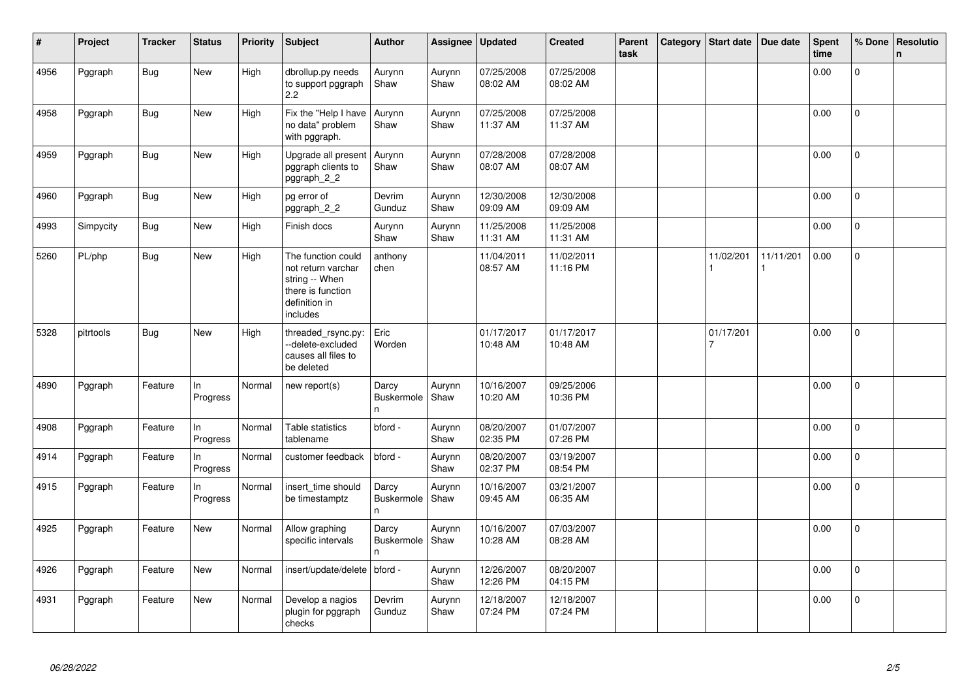| #    | Project   | <b>Tracker</b> | <b>Status</b>   | <b>Priority</b> | Subject                                                                                                      | <b>Author</b>                    | Assignee       | <b>Updated</b>         | <b>Created</b>         | Parent<br>task | Category | Start date | Due date  | Spent<br>time | % Done         | Resolutio<br>$\mathsf{n}$ |
|------|-----------|----------------|-----------------|-----------------|--------------------------------------------------------------------------------------------------------------|----------------------------------|----------------|------------------------|------------------------|----------------|----------|------------|-----------|---------------|----------------|---------------------------|
| 4956 | Pggraph   | <b>Bug</b>     | New             | High            | dbrollup.py needs<br>to support pggraph<br>2.2                                                               | Aurynn<br>Shaw                   | Aurynn<br>Shaw | 07/25/2008<br>08:02 AM | 07/25/2008<br>08:02 AM |                |          |            |           | 0.00          | 0              |                           |
| 4958 | Pggraph   | <b>Bug</b>     | <b>New</b>      | High            | Fix the "Help I have<br>no data" problem<br>with pggraph.                                                    | Aurynn<br>Shaw                   | Aurynn<br>Shaw | 07/25/2008<br>11:37 AM | 07/25/2008<br>11:37 AM |                |          |            |           | 0.00          | $\Omega$       |                           |
| 4959 | Pggraph   | <b>Bug</b>     | <b>New</b>      | High            | Upgrade all present<br>pggraph clients to<br>pggraph_2_2                                                     | Aurynn<br>Shaw                   | Aurynn<br>Shaw | 07/28/2008<br>08:07 AM | 07/28/2008<br>08:07 AM |                |          |            |           | 0.00          | $\mathbf 0$    |                           |
| 4960 | Pggraph   | <b>Bug</b>     | New             | High            | pg error of<br>pggraph_2_2                                                                                   | Devrim<br>Gunduz                 | Aurynn<br>Shaw | 12/30/2008<br>09:09 AM | 12/30/2008<br>09:09 AM |                |          |            |           | 0.00          | $\overline{0}$ |                           |
| 4993 | Simpycity | <b>Bug</b>     | New             | High            | Finish docs                                                                                                  | Aurynn<br>Shaw                   | Aurynn<br>Shaw | 11/25/2008<br>11:31 AM | 11/25/2008<br>11:31 AM |                |          |            |           | 0.00          | $\mathbf{0}$   |                           |
| 5260 | PL/php    | <b>Bug</b>     | New             | High            | The function could<br>not return varchar<br>string -- When<br>there is function<br>definition in<br>includes | anthony<br>chen                  |                | 11/04/2011<br>08:57 AM | 11/02/2011<br>11:16 PM |                |          | 11/02/201  | 11/11/201 | 0.00          | $\overline{0}$ |                           |
| 5328 | pitrtools | <b>Bug</b>     | New             | High            | threaded_rsync.py:<br>--delete-excluded<br>causes all files to<br>be deleted                                 | Eric<br>Worden                   |                | 01/17/2017<br>10:48 AM | 01/17/2017<br>10:48 AM |                |          | 01/17/201  |           | 0.00          | $\overline{0}$ |                           |
| 4890 | Pggraph   | Feature        | ln.<br>Progress | Normal          | new report(s)                                                                                                | Darcy<br>Buskermole<br>n         | Aurynn<br>Shaw | 10/16/2007<br>10:20 AM | 09/25/2006<br>10:36 PM |                |          |            |           | 0.00          | $\overline{0}$ |                           |
| 4908 | Pggraph   | Feature        | In<br>Progress  | Normal          | Table statistics<br>tablename                                                                                | bford -                          | Aurynn<br>Shaw | 08/20/2007<br>02:35 PM | 01/07/2007<br>07:26 PM |                |          |            |           | 0.00          | $\mathbf 0$    |                           |
| 4914 | Pggraph   | Feature        | ln.<br>Progress | Normal          | customer feedback                                                                                            | bford -                          | Aurynn<br>Shaw | 08/20/2007<br>02:37 PM | 03/19/2007<br>08:54 PM |                |          |            |           | 0.00          | 0              |                           |
| 4915 | Pggraph   | Feature        | In<br>Progress  | Normal          | insert_time should<br>be timestamptz                                                                         | Darcy<br><b>Buskermole</b><br>n. | Aurynn<br>Shaw | 10/16/2007<br>09:45 AM | 03/21/2007<br>06:35 AM |                |          |            |           | 0.00          | $\mathbf 0$    |                           |
| 4925 | Pggraph   | Feature        | <b>New</b>      | Normal          | Allow graphing<br>specific intervals                                                                         | Darcy<br>Buskermole<br>n         | Aurynn<br>Shaw | 10/16/2007<br>10:28 AM | 07/03/2007<br>08:28 AM |                |          |            |           | 0.00          | $\mathbf 0$    |                           |
| 4926 | Pggraph   | Feature        | New             | Normal          | insert/update/delete   bford -                                                                               |                                  | Aurynn<br>Shaw | 12/26/2007<br>12:26 PM | 08/20/2007<br>04:15 PM |                |          |            |           | 0.00          | $\Omega$       |                           |
| 4931 | Pggraph   | Feature        | New             | Normal          | Develop a nagios<br>plugin for pggraph<br>checks                                                             | Devrim<br>Gunduz                 | Aurynn<br>Shaw | 12/18/2007<br>07:24 PM | 12/18/2007<br>07:24 PM |                |          |            |           | 0.00          | 0              |                           |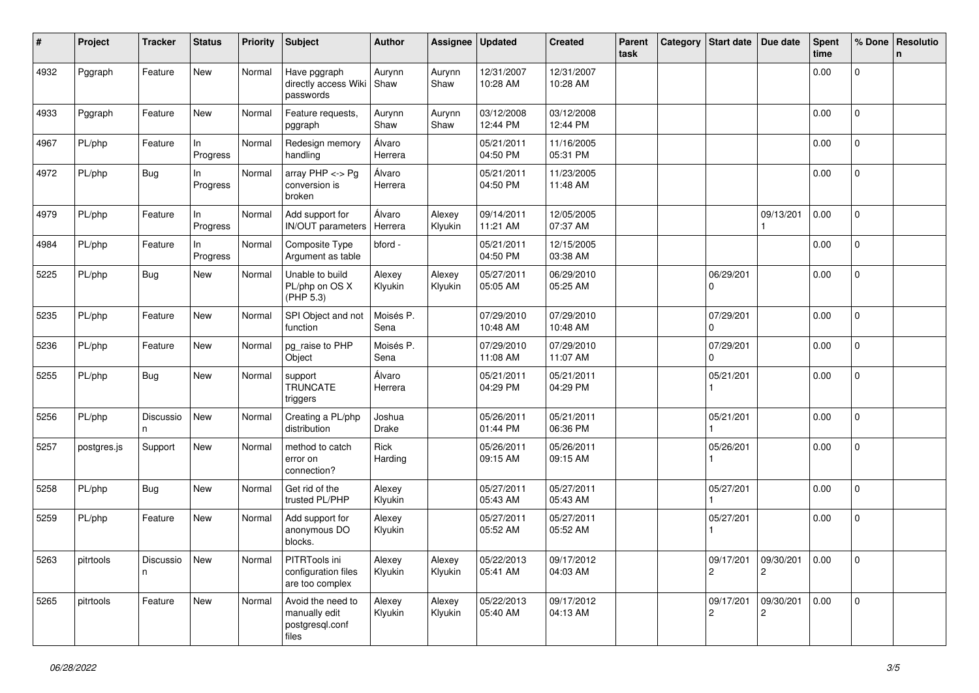| ∦    | Project     | <b>Tracker</b>  | <b>Status</b>  | <b>Priority</b> | <b>Subject</b>                                                 | <b>Author</b>     | Assignee          | <b>Updated</b>         | <b>Created</b>         | Parent<br>task | Category | Start date   Due date |                                        | <b>Spent</b><br>time | % Done         | Resolutio<br>n |
|------|-------------|-----------------|----------------|-----------------|----------------------------------------------------------------|-------------------|-------------------|------------------------|------------------------|----------------|----------|-----------------------|----------------------------------------|----------------------|----------------|----------------|
| 4932 | Pggraph     | Feature         | New            | Normal          | Have pggraph<br>directly access Wiki<br>passwords              | Aurynn<br>Shaw    | Aurynn<br>Shaw    | 12/31/2007<br>10:28 AM | 12/31/2007<br>10:28 AM |                |          |                       |                                        | 0.00                 | 0              |                |
| 4933 | Pggraph     | Feature         | New            | Normal          | Feature requests,<br>pggraph                                   | Aurynn<br>Shaw    | Aurynn<br>Shaw    | 03/12/2008<br>12:44 PM | 03/12/2008<br>12:44 PM |                |          |                       |                                        | 0.00                 | $\mathbf{0}$   |                |
| 4967 | PL/php      | Feature         | In<br>Progress | Normal          | Redesign memory<br>handling                                    | Álvaro<br>Herrera |                   | 05/21/2011<br>04:50 PM | 11/16/2005<br>05:31 PM |                |          |                       |                                        | 0.00                 | $\mathbf 0$    |                |
| 4972 | PL/php      | Bug             | In<br>Progress | Normal          | array $PHP \lt\gt Pq$<br>conversion is<br>broken               | Álvaro<br>Herrera |                   | 05/21/2011<br>04:50 PM | 11/23/2005<br>11:48 AM |                |          |                       |                                        | 0.00                 | 0              |                |
| 4979 | PL/php      | Feature         | In<br>Progress | Normal          | Add support for<br>IN/OUT parameters                           | Álvaro<br>Herrera | Alexey<br>Klyukin | 09/14/2011<br>11:21 AM | 12/05/2005<br>07:37 AM |                |          |                       | 09/13/201                              | 0.00                 | $\mathbf{0}$   |                |
| 4984 | PL/php      | Feature         | In<br>Progress | Normal          | Composite Type<br>Argument as table                            | bford -           |                   | 05/21/2011<br>04:50 PM | 12/15/2005<br>03:38 AM |                |          |                       |                                        | 0.00                 | $\mathbf 0$    |                |
| 5225 | PL/php      | Bug             | New            | Normal          | Unable to build<br>PL/php on OS X<br>(PHP 5.3)                 | Alexey<br>Klyukin | Alexey<br>Klyukin | 05/27/2011<br>05:05 AM | 06/29/2010<br>05:25 AM |                |          | 06/29/201<br>0        |                                        | 0.00                 | $\overline{0}$ |                |
| 5235 | PL/php      | Feature         | New            | Normal          | SPI Object and not<br>function                                 | Moisés P.<br>Sena |                   | 07/29/2010<br>10:48 AM | 07/29/2010<br>10:48 AM |                |          | 07/29/201<br>0        |                                        | 0.00                 | $\mathbf{0}$   |                |
| 5236 | PL/php      | Feature         | New            | Normal          | pg_raise to PHP<br>Object                                      | Moisés P.<br>Sena |                   | 07/29/2010<br>11:08 AM | 07/29/2010<br>11:07 AM |                |          | 07/29/201<br>$\Omega$ |                                        | 0.00                 | $\mathbf 0$    |                |
| 5255 | PL/php      | Bug             | New            | Normal          | support<br><b>TRUNCATE</b><br>triggers                         | Álvaro<br>Herrera |                   | 05/21/2011<br>04:29 PM | 05/21/2011<br>04:29 PM |                |          | 05/21/201             |                                        | 0.00                 | 0              |                |
| 5256 | PL/php      | Discussio<br>n. | New            | Normal          | Creating a PL/php<br>distribution                              | Joshua<br>Drake   |                   | 05/26/2011<br>01:44 PM | 05/21/2011<br>06:36 PM |                |          | 05/21/201             |                                        | 0.00                 | 0              |                |
| 5257 | postgres.js | Support         | New            | Normal          | method to catch<br>error on<br>connection?                     | Rick<br>Harding   |                   | 05/26/2011<br>09:15 AM | 05/26/2011<br>09:15 AM |                |          | 05/26/201             |                                        | 0.00                 | $\mathbf 0$    |                |
| 5258 | PL/php      | <b>Bug</b>      | New            | Normal          | Get rid of the<br>trusted PL/PHP                               | Alexey<br>Klyukin |                   | 05/27/2011<br>05:43 AM | 05/27/2011<br>05:43 AM |                |          | 05/27/201             |                                        | 0.00                 | $\mathbf 0$    |                |
| 5259 | PL/php      | Feature         | New            | Normal          | Add support for<br>anonymous DO<br>blocks.                     | Alexey<br>Klyukin |                   | 05/27/2011<br>05:52 AM | 05/27/2011<br>05:52 AM |                |          | 05/27/201             |                                        | 0.00                 | 0              |                |
| 5263 | pitrtools   | Discussio<br>n  | New            | Normal          | PITRTools ini<br>configuration files<br>are too complex        | Alexey<br>Klyukin | Alexey<br>Klyukin | 05/22/2013<br>05:41 AM | 09/17/2012<br>04:03 AM |                |          | $\overline{c}$        | 09/17/201  09/30/201<br>$\overline{c}$ | 0.00                 | $\overline{0}$ |                |
| 5265 | pitrtools   | Feature         | New            | Normal          | Avoid the need to<br>manually edit<br>postgresql.conf<br>files | Alexey<br>Klyukin | Alexey<br>Klyukin | 05/22/2013<br>05:40 AM | 09/17/2012<br>04:13 AM |                |          | 09/17/201<br>2        | 09/30/201<br>2                         | 0.00                 | $\mathbf{0}$   |                |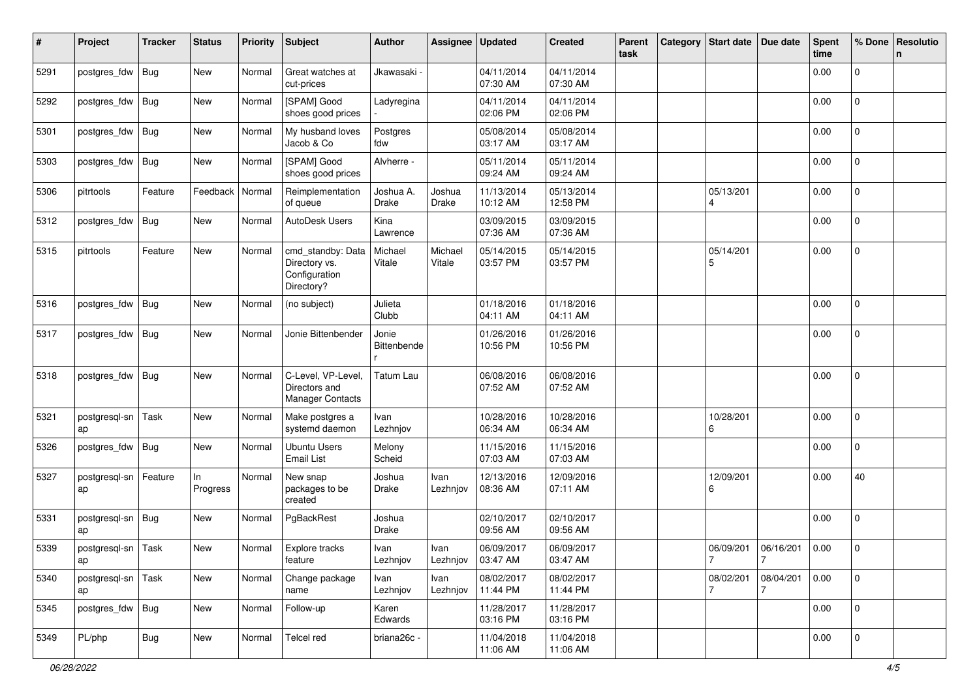| #    | Project             | <b>Tracker</b> | <b>Status</b>     | <b>Priority</b> | Subject                                                           | <b>Author</b>             | Assignee          | <b>Updated</b>         | <b>Created</b>         | <b>Parent</b><br>task | Category   Start date | Due date         | <b>Spent</b><br>time | % Done              | Resolutio<br>n |
|------|---------------------|----------------|-------------------|-----------------|-------------------------------------------------------------------|---------------------------|-------------------|------------------------|------------------------|-----------------------|-----------------------|------------------|----------------------|---------------------|----------------|
| 5291 | postgres_fdw        | Bug            | New               | Normal          | Great watches at<br>cut-prices                                    | Jkawasaki ·               |                   | 04/11/2014<br>07:30 AM | 04/11/2014<br>07:30 AM |                       |                       |                  | 0.00                 | 0                   |                |
| 5292 | postgres_fdw        | Bug            | New               | Normal          | [SPAM] Good<br>shoes good prices                                  | Ladyregina                |                   | 04/11/2014<br>02:06 PM | 04/11/2014<br>02:06 PM |                       |                       |                  | 0.00                 | 0                   |                |
| 5301 | postgres_fdw        | Bug            | New               | Normal          | My husband loves<br>Jacob & Co                                    | Postgres<br>fdw           |                   | 05/08/2014<br>03:17 AM | 05/08/2014<br>03:17 AM |                       |                       |                  | 0.00                 | 0                   |                |
| 5303 | postgres_fdw        | <b>Bug</b>     | New               | Normal          | [SPAM] Good<br>shoes good prices                                  | Alvherre -                |                   | 05/11/2014<br>09:24 AM | 05/11/2014<br>09:24 AM |                       |                       |                  | 0.00                 | 0                   |                |
| 5306 | pitrtools           | Feature        | Feedback   Normal |                 | Reimplementation<br>of queue                                      | Joshua A.<br><b>Drake</b> | Joshua<br>Drake   | 11/13/2014<br>10:12 AM | 05/13/2014<br>12:58 PM |                       | 05/13/201<br>4        |                  | 0.00                 | $\Omega$            |                |
| 5312 | postgres_fdw        | Bug            | New               | Normal          | AutoDesk Users                                                    | Kina<br>Lawrence          |                   | 03/09/2015<br>07:36 AM | 03/09/2015<br>07:36 AM |                       |                       |                  | 0.00                 | 0                   |                |
| 5315 | pitrtools           | Feature        | New               | Normal          | cmd_standby: Data<br>Directory vs.<br>Configuration<br>Directory? | Michael<br>Vitale         | Michael<br>Vitale | 05/14/2015<br>03:57 PM | 05/14/2015<br>03:57 PM |                       | 05/14/201<br>5        |                  | 0.00                 | 0                   |                |
| 5316 | postgres_fdw        | <b>Bug</b>     | New               | Normal          | (no subject)                                                      | Julieta<br>Clubb          |                   | 01/18/2016<br>04:11 AM | 01/18/2016<br>04:11 AM |                       |                       |                  | 0.00                 | 0                   |                |
| 5317 | postgres_fdw        | Bug            | New               | Normal          | Jonie Bittenbender                                                | Jonie<br>Bittenbende      |                   | 01/26/2016<br>10:56 PM | 01/26/2016<br>10:56 PM |                       |                       |                  | 0.00                 | 0                   |                |
| 5318 | postgres_fdw        | Bug            | <b>New</b>        | Normal          | C-Level, VP-Level.<br>Directors and<br><b>Manager Contacts</b>    | Tatum Lau                 |                   | 06/08/2016<br>07:52 AM | 06/08/2016<br>07:52 AM |                       |                       |                  | 0.00                 | $\overline{0}$      |                |
| 5321 | postgresql-sn<br>ap | Task           | New               | Normal          | Make postgres a<br>systemd daemon                                 | Ivan<br>Lezhnjov          |                   | 10/28/2016<br>06:34 AM | 10/28/2016<br>06:34 AM |                       | 10/28/201<br>6        |                  | 0.00                 | 0                   |                |
| 5326 | postgres_fdw        | Bug            | New               | Normal          | <b>Ubuntu Users</b><br><b>Email List</b>                          | Melony<br>Scheid          |                   | 11/15/2016<br>07:03 AM | 11/15/2016<br>07:03 AM |                       |                       |                  | 0.00                 | $\overline{0}$      |                |
| 5327 | postgresql-sn<br>ap | Feature        | In<br>Progress    | Normal          | New snap<br>packages to be<br>created                             | Joshua<br>Drake           | Ivan<br>Lezhnjov  | 12/13/2016<br>08:36 AM | 12/09/2016<br>07:11 AM |                       | 12/09/201<br>6        |                  | 0.00                 | 40                  |                |
| 5331 | postgresql-sn<br>ap | <b>Bug</b>     | New               | Normal          | PgBackRest                                                        | Joshua<br><b>Drake</b>    |                   | 02/10/2017<br>09:56 AM | 02/10/2017<br>09:56 AM |                       |                       |                  | 0.00                 | 0                   |                |
| 5339 | postgresgl-sn<br>ap | Task           | New               | Normal          | Explore tracks<br>feature                                         | Ivan<br>Lezhnjov          | Ivan<br>Lezhnjov  | 06/09/2017<br>03:47 AM | 06/09/2017<br>03:47 AM |                       | 06/09/201<br>7        | 06/16/201<br>  7 | 0.00                 | 0                   |                |
| 5340 | postgresql-sn<br>ap | Task           | New               | Normal          | Change package<br>name                                            | Ivan<br>Lezhnjov          | Ivan<br>Lezhnjov  | 08/02/2017<br>11:44 PM | 08/02/2017<br>11:44 PM |                       | 08/02/201             | 08/04/201<br>7   | 0.00                 | 0                   |                |
| 5345 | postgres_fdw        | Bug            | New               | Normal          | Follow-up                                                         | Karen<br>Edwards          |                   | 11/28/2017<br>03:16 PM | 11/28/2017<br>03:16 PM |                       |                       |                  | 0.00                 | $\mathsf{O}\xspace$ |                |
| 5349 | PL/php              | <b>Bug</b>     | New               | Normal          | Telcel red                                                        | briana26c -               |                   | 11/04/2018<br>11:06 AM | 11/04/2018<br>11:06 AM |                       |                       |                  | 0.00                 | $\mathsf{O}\xspace$ |                |